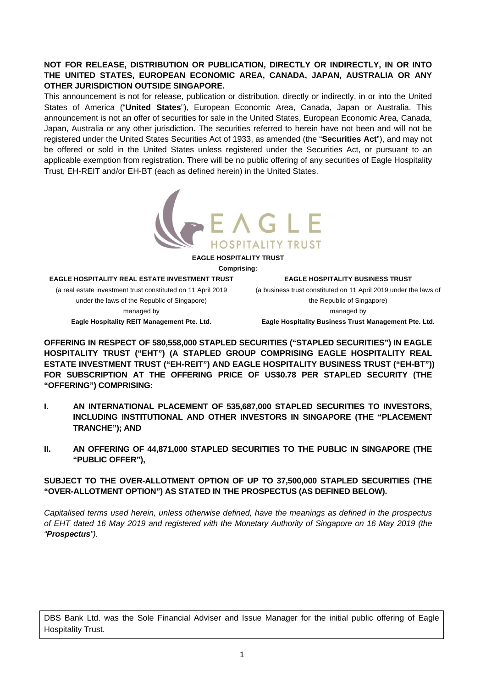## **NOT FOR RELEASE, DISTRIBUTION OR PUBLICATION, DIRECTLY OR INDIRECTLY, IN OR INTO THE UNITED STATES, EUROPEAN ECONOMIC AREA, CANADA, JAPAN, AUSTRALIA OR ANY OTHER JURISDICTION OUTSIDE SINGAPORE.**

This announcement is not for release, publication or distribution, directly or indirectly, in or into the United States of America ("**United States**"), European Economic Area, Canada, Japan or Australia. This announcement is not an offer of securities for sale in the United States, European Economic Area, Canada, Japan, Australia or any other jurisdiction. The securities referred to herein have not been and will not be registered under the United States Securities Act of 1933, as amended (the "**Securities Act**"), and may not be offered or sold in the United States unless registered under the Securities Act, or pursuant to an applicable exemption from registration. There will be no public offering of any securities of Eagle Hospitality Trust, EH-REIT and/or EH-BT (each as defined herein) in the United States.



**EAGLE HOSPITALITY TRUST** 

**Comprising:** 

#### **EAGLE HOSPITALITY REAL ESTATE INVESTMENT TRUST**

(a real estate investment trust constituted on 11 April 2019 under the laws of the Republic of Singapore) managed by **Eagle Hospitality REIT Management Pte. Ltd.** 

**EAGLE HOSPITALITY BUSINESS TRUST** 

(a business trust constituted on 11 April 2019 under the laws of the Republic of Singapore) managed by

**Eagle Hospitality Business Trust Management Pte. Ltd.** 

**OFFERING IN RESPECT OF 580,558,000 STAPLED SECURITIES ("STAPLED SECURITIES") IN EAGLE HOSPITALITY TRUST ("EHT") (A STAPLED GROUP COMPRISING EAGLE HOSPITALITY REAL ESTATE INVESTMENT TRUST ("EH-REIT") AND EAGLE HOSPITALITY BUSINESS TRUST ("EH-BT")) FOR SUBSCRIPTION AT THE OFFERING PRICE OF US\$0.78 PER STAPLED SECURITY (THE "OFFERING") COMPRISING:** 

- **I. AN INTERNATIONAL PLACEMENT OF 535,687,000 STAPLED SECURITIES TO INVESTORS, INCLUDING INSTITUTIONAL AND OTHER INVESTORS IN SINGAPORE (THE "PLACEMENT TRANCHE"); AND**
- **II. AN OFFERING OF 44,871,000 STAPLED SECURITIES TO THE PUBLIC IN SINGAPORE (THE "PUBLIC OFFER"),**

## **SUBJECT TO THE OVER-ALLOTMENT OPTION OF UP TO 37,500,000 STAPLED SECURITIES (THE "OVER-ALLOTMENT OPTION") AS STATED IN THE PROSPECTUS (AS DEFINED BELOW).**

*Capitalised terms used herein, unless otherwise defined, have the meanings as defined in the prospectus of EHT dated 16 May 2019 and registered with the Monetary Authority of Singapore on 16 May 2019 (the "Prospectus").* 

DBS Bank Ltd. was the Sole Financial Adviser and Issue Manager for the initial public offering of Eagle Hospitality Trust.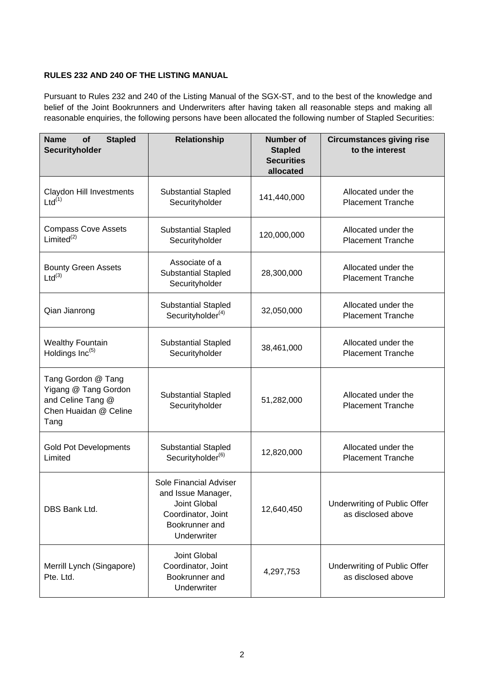# **RULES 232 AND 240 OF THE LISTING MANUAL**

Pursuant to Rules 232 and 240 of the Listing Manual of the SGX-ST, and to the best of the knowledge and belief of the Joint Bookrunners and Underwriters after having taken all reasonable steps and making all reasonable enquiries, the following persons have been allocated the following number of Stapled Securities:

| <b>Name</b><br><b>Stapled</b><br>of<br>Securityholder                                            | <b>Relationship</b>                                                                                                 | <b>Number of</b><br><b>Stapled</b><br><b>Securities</b><br>allocated | <b>Circumstances giving rise</b><br>to the interest |
|--------------------------------------------------------------------------------------------------|---------------------------------------------------------------------------------------------------------------------|----------------------------------------------------------------------|-----------------------------------------------------|
| <b>Claydon Hill Investments</b><br>$Ltd^{(1)}$                                                   | <b>Substantial Stapled</b><br>Securityholder                                                                        | 141,440,000                                                          | Allocated under the<br><b>Placement Tranche</b>     |
| <b>Compass Cove Assets</b><br>Limited $^{(2)}$                                                   | <b>Substantial Stapled</b><br>Securityholder                                                                        | 120,000,000                                                          | Allocated under the<br><b>Placement Tranche</b>     |
| <b>Bounty Green Assets</b><br>$Ltd^{(3)}$                                                        | Associate of a<br><b>Substantial Stapled</b><br>Securityholder                                                      | 28,300,000                                                           | Allocated under the<br><b>Placement Tranche</b>     |
| Qian Jianrong                                                                                    | <b>Substantial Stapled</b><br>Securityholder <sup>(4)</sup>                                                         | 32,050,000                                                           | Allocated under the<br><b>Placement Tranche</b>     |
| <b>Wealthy Fountain</b><br>Holdings Inc <sup>(5)</sup>                                           | <b>Substantial Stapled</b><br>Securityholder                                                                        | 38,461,000                                                           | Allocated under the<br><b>Placement Tranche</b>     |
| Tang Gordon @ Tang<br>Yigang @ Tang Gordon<br>and Celine Tang @<br>Chen Huaidan @ Celine<br>Tang | <b>Substantial Stapled</b><br>Securityholder                                                                        | 51,282,000                                                           | Allocated under the<br><b>Placement Tranche</b>     |
| <b>Gold Pot Developments</b><br>Limited                                                          | <b>Substantial Stapled</b><br>Securityholder <sup>(6)</sup>                                                         | 12,820,000                                                           | Allocated under the<br><b>Placement Tranche</b>     |
| DBS Bank Ltd.                                                                                    | Sole Financial Adviser<br>and Issue Manager,<br>Joint Global<br>Coordinator, Joint<br>Bookrunner and<br>Underwriter | 12,640,450                                                           | Underwriting of Public Offer<br>as disclosed above  |
| Merrill Lynch (Singapore)<br>Pte. Ltd.                                                           | Joint Global<br>Coordinator, Joint<br>Bookrunner and<br>Underwriter                                                 | 4,297,753                                                            | Underwriting of Public Offer<br>as disclosed above  |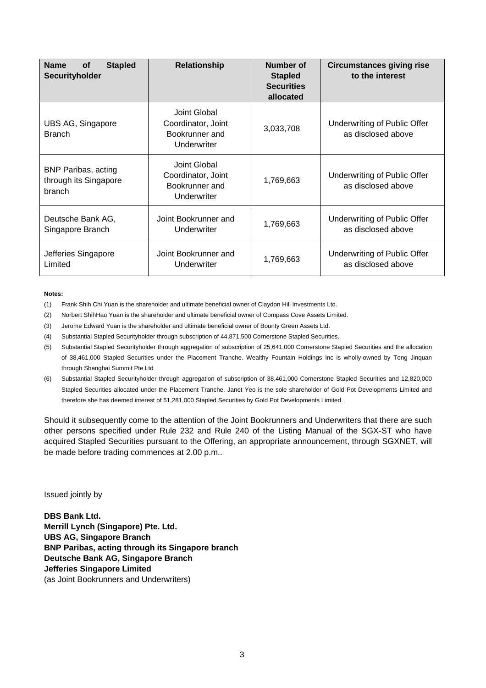| <b>Name</b><br><b>Stapled</b><br>of<br>Securityholder         | <b>Relationship</b>                                                 | Number of<br><b>Stapled</b><br><b>Securities</b><br>allocated | <b>Circumstances giving rise</b><br>to the interest |
|---------------------------------------------------------------|---------------------------------------------------------------------|---------------------------------------------------------------|-----------------------------------------------------|
| UBS AG, Singapore<br><b>Branch</b>                            | Joint Global<br>Coordinator, Joint<br>Bookrunner and<br>Underwriter | 3,033,708                                                     | Underwriting of Public Offer<br>as disclosed above  |
| <b>BNP Paribas, acting</b><br>through its Singapore<br>branch | Joint Global<br>Coordinator, Joint<br>Bookrunner and<br>Underwriter | 1,769,663                                                     | Underwriting of Public Offer<br>as disclosed above  |
| Deutsche Bank AG,<br>Singapore Branch                         | Joint Bookrunner and<br>Underwriter                                 | 1,769,663                                                     | Underwriting of Public Offer<br>as disclosed above  |
| Jefferies Singapore<br>Limited                                | Joint Bookrunner and<br>Underwriter                                 | 1,769,663                                                     | Underwriting of Public Offer<br>as disclosed above  |

#### **Notes:**

- (1) Frank Shih Chi Yuan is the shareholder and ultimate beneficial owner of Claydon Hill Investments Ltd.
- (2) Norbert ShihHau Yuan is the shareholder and ultimate beneficial owner of Compass Cove Assets Limited.
- (3) Jerome Edward Yuan is the shareholder and ultimate beneficial owner of Bounty Green Assets Ltd.
- (4) Substantial Stapled Securityholder through subscription of 44,871,500 Cornerstone Stapled Securities.
- (5) Substantial Stapled Securityholder through aggregation of subscription of 25,641,000 Cornerstone Stapled Securities and the allocation of 38,461,000 Stapled Securities under the Placement Tranche. Wealthy Fountain Holdings Inc is wholly-owned by Tong Jinquan through Shanghai Summit Pte Ltd
- (6) Substantial Stapled Securityholder through aggregation of subscription of 38,461,000 Cornerstone Stapled Securities and 12,820,000 Stapled Securities allocated under the Placement Tranche. Janet Yeo is the sole shareholder of Gold Pot Developments Limited and therefore she has deemed interest of 51,281,000 Stapled Securities by Gold Pot Developments Limited.

Should it subsequently come to the attention of the Joint Bookrunners and Underwriters that there are such other persons specified under Rule 232 and Rule 240 of the Listing Manual of the SGX-ST who have acquired Stapled Securities pursuant to the Offering, an appropriate announcement, through SGXNET, will be made before trading commences at 2.00 p.m..

Issued jointly by

**DBS Bank Ltd. Merrill Lynch (Singapore) Pte. Ltd. UBS AG, Singapore Branch BNP Paribas, acting through its Singapore branch Deutsche Bank AG, Singapore Branch Jefferies Singapore Limited**  (as Joint Bookrunners and Underwriters)